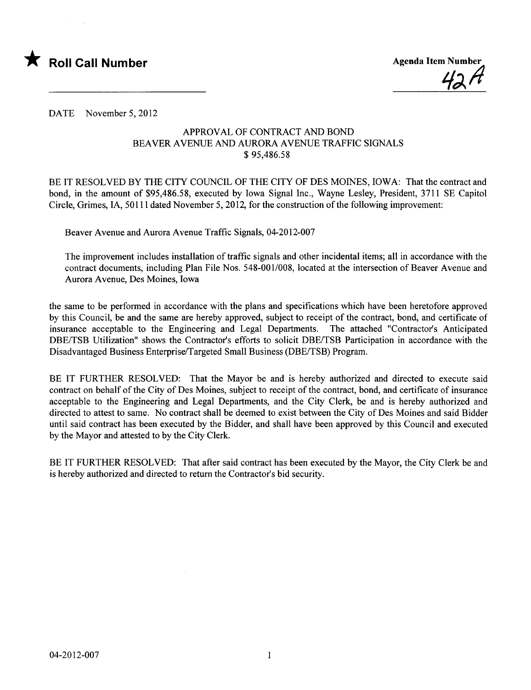



DATE November 5, 2012

## APPROVAL OF CONTRACT AND BOND BEAVER AVENUE AND AURORA AVENUE TRAFFIC SIGNALS \$ 95,486.58

BE IT RESOLVED BY THE CITY COUNCIL OF THE CITY OF DES MOINES, IOWA: That the contract and bond, in the amount of \$95,486.58, executed by Iowa Signal Inc., Wayne Lesley, President, 3711 SE Capitol Circle, Grimes, lA, 50111 dated November 5, 2012, for the construction of the following improvement:

Beaver Avenue and Aurora Avenue Traffic Signals, 04-2012-007

The improvement includes installation of traffic signals and other incidental items; all in accordance with the contract documents, including Plan File Nos. 548-001/008, located at the intersection of Beaver Avenue and Aurora Avenue, Des Moines, Iowa

the same to be performed in accordance with the plans and specifications which have been heretofore approved by this Council, be and the same are hereby approved, subject to receipt of the contract, bond, and certificate of insurance acceptable to the Engineering and Legal Departments. The attached "Contractor's Anticipated DBE/TSB Utilzation" shows the Contractor's efforts to solicit DBE/TSB Participation in accordance with the Disadvantaged Business Enterprise/Targeted Small Business (DBE/TSB) Program.

BE IT FURTHER RESOLVED: That the Mayor be and is hereby authorized and directed to execute said contract on behalf of the City of Des Moines, subject to receipt of the contract, bond, and certificate of insurance acceptable to the Engineering and Legal Departments, and the City Clerk, be and is hereby authorized and directed to attest to same. No contract shall be deemed to exist between the City of Des Moines and said Bidder until said contract has been executed by the Bidder, and shall have been approved by this Council and executed by the Mayor and attested to by the City Clerk.

BE IT FURTHER RESOLVED: That after said contract has been executed by the Mayor, the City Clerk be and is hereby authorized and directed to return the Contractor's bid security.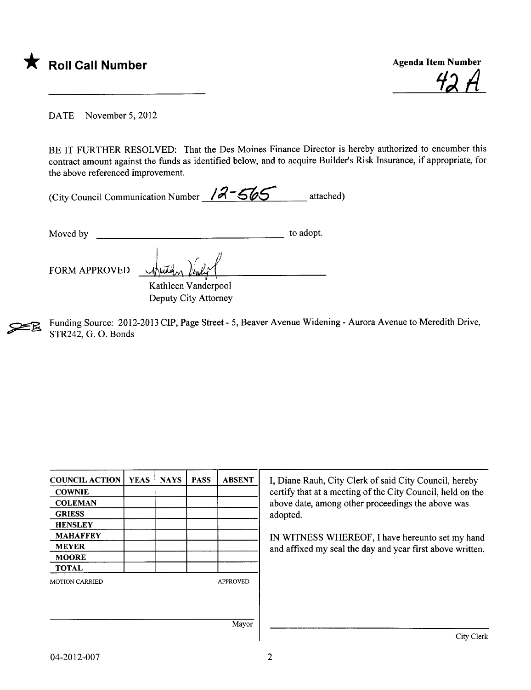

<u>42 A</u>

DATE November 5, 2012

BE IT FURTHER RESOLVED: That the Des Moines Finance Director is hereby authorized to encumber this contract amount against the funds as identified below, and to acquire Builder's Risk Insurance, if appropriate, for the above referenced improvement.

| (City Council Communication Number $12-565$ |  | attached) |
|---------------------------------------------|--|-----------|
|---------------------------------------------|--|-----------|

Moved by to adopt.

 $\bigcup_{x \in A} \mathcal{N}_a$ 

FORM APPROVED thursday

Kathleen Vanderpool Deputy City Attorney

~ Funding Source: 2012-2013 CIP, Page Street - 5, Beaver Avenue Widening - Aurora Avenue to Meredith Drive, STR242, G. O. Bonds

| <b>COUNCIL ACTION</b>           | <b>YEAS</b> | <b>NAYS</b> | <b>PASS</b> | <b>ABSENT</b>   | I, Diane Rauh, City Clerk of said City Council, hereby                                                          |  |  |
|---------------------------------|-------------|-------------|-------------|-----------------|-----------------------------------------------------------------------------------------------------------------|--|--|
|                                 |             |             |             |                 |                                                                                                                 |  |  |
| <b>COWNIE</b><br><b>COLEMAN</b> |             |             |             |                 | certify that at a meeting of the City Council, held on the<br>above date, among other proceedings the above was |  |  |
| <b>GRIESS</b>                   |             |             |             |                 | adopted.                                                                                                        |  |  |
| <b>HENSLEY</b>                  |             |             |             |                 |                                                                                                                 |  |  |
| <b>MAHAFFEY</b>                 |             |             |             |                 | IN WITNESS WHEREOF, I have hereunto set my hand                                                                 |  |  |
| <b>MEYER</b>                    |             |             |             |                 | and affixed my seal the day and year first above written.                                                       |  |  |
| <b>MOORE</b>                    |             |             |             |                 |                                                                                                                 |  |  |
| <b>TOTAL</b>                    |             |             |             |                 |                                                                                                                 |  |  |
| <b>MOTION CARRIED</b>           |             |             |             | <b>APPROVED</b> |                                                                                                                 |  |  |
|                                 |             |             |             |                 |                                                                                                                 |  |  |
|                                 |             |             |             | Mayor           |                                                                                                                 |  |  |
|                                 |             |             |             |                 | City Clerk                                                                                                      |  |  |